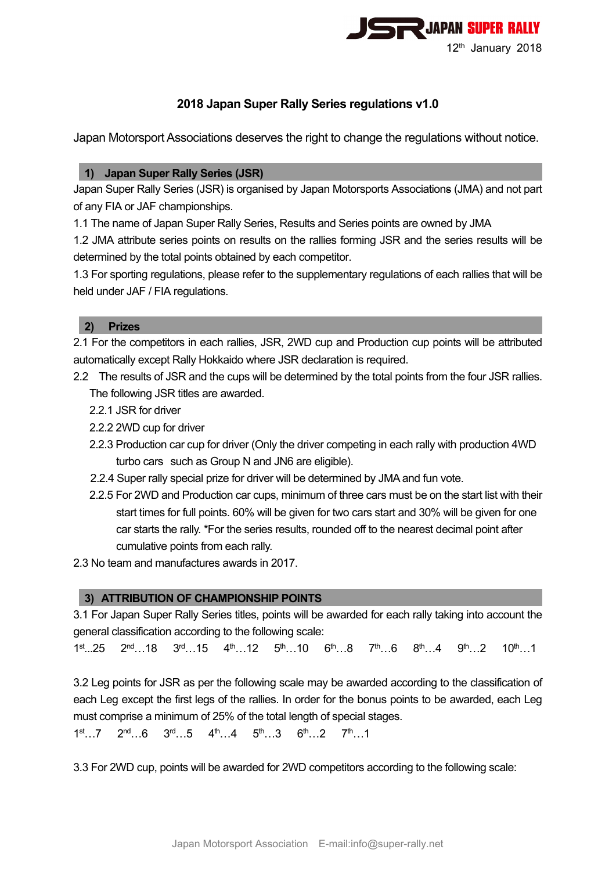

# **2018 Japan Super Rally Series regulations v1.0**

Japan Motorsport Associations deserves the right to change the regulations without notice.

## **1) Japan Super Rally Series (JSR)**

Japan Super Rally Series (JSR) is organised by Japan Motorsports Associations (JMA) and not part of any FIA or JAF championships.

1.1 The name of Japan Super Rally Series, Results and Series points are owned by JMA

1.2 JMA attribute series points on results on the rallies forming JSR and the series results will be determined by the total points obtained by each competitor.

1.3 For sporting regulations, please refer to the supplementary regulations of each rallies that will be held under JAF / FIA regulations.

### **2) Prizes**

2.1 For the competitors in each rallies, JSR, 2WD cup and Production cup points will be attributed automatically except Rally Hokkaido where JSR declaration is required.

- 2.2 The results of JSR and the cups will be determined by the total points from the four JSR rallies. The following JSR titles are awarded.
	- 2.2.1 JSR for driver
	- 2.2.2 2WD cup for driver
	- 2.2.3 Production car cup for driver (Only the driver competing in each rally with production 4WD turbo cars such as Group N and JN6 are eligible).
	- 2.2.4 Super rally special prize for driver will be determined by JMA and fun vote.
	- 2.2.5 For 2WD and Production car cups, minimum of three cars must be on the start list with their start times for full points. 60% will be given for two cars start and 30% will be given for one car starts the rally. \*For the series results, rounded off to the nearest decimal point after cumulative points from each rally.
- 2.3 No team and manufactures awards in 2017.

### **3) ATTRIBUTION OF CHAMPIONSHIP POINTS**

3.1 For Japan Super Rally Series titles, points will be awarded for each rally taking into account the general classification according to the following scale:

 $1<sup>st</sup>...25$   $2<sup>nd</sup>...18$   $3<sup>rd</sup>...15$   $4<sup>th</sup>...12$   $5<sup>th</sup>...10$   $6<sup>th</sup>...8$   $7<sup>th</sup>...6$   $8<sup>th</sup>...4$   $9<sup>th</sup>...2$   $10<sup>th</sup>...1$ 

3.2 Leg points for JSR as per the following scale may be awarded according to the classification of each Leg except the first legs of the rallies. In order for the bonus points to be awarded, each Leg must comprise a minimum of 25% of the total length of special stages.

 $1^{\text{st}}$ …7  $2^{\text{nd}}$ …6  $3^{\text{rd}}$ …5  $4^{\text{th}}$ …4  $5^{\text{th}}$ …3  $6^{\text{th}}$ …2  $7^{\text{th}}$ …1

3.3 For 2WD cup, points will be awarded for 2WD competitors according to the following scale: